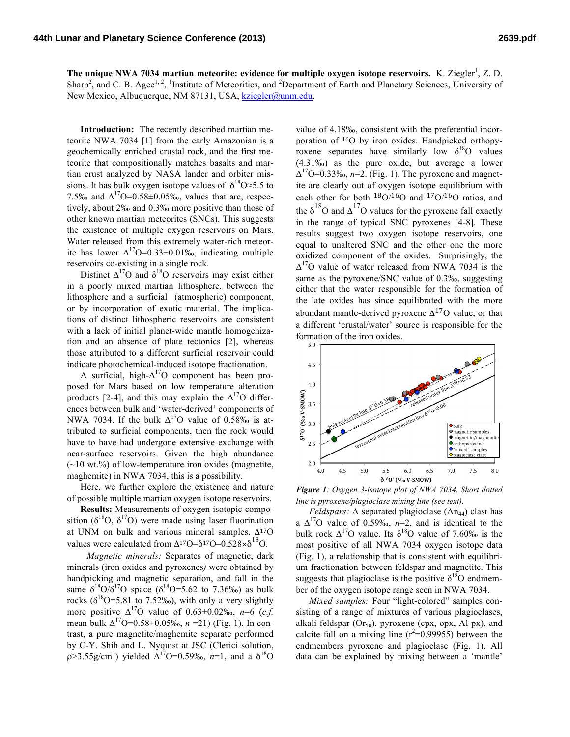The unique NWA 7034 martian meteorite: evidence for multiple oxygen isotope reservoirs. K. Ziegler<sup>1</sup>, Z. D. Sharp<sup>2</sup>, and C. B. Agee<sup>1, 2</sup>, <sup>1</sup>Institute of Meteoritics, and <sup>2</sup>Department of Earth and Planetary Sciences, University of New Mexico, Albuquerque, NM 87131, USA, kziegler@unm.edu.

**Introduction:** The recently described martian meteorite NWA 7034 [1] from the early Amazonian is a geochemically enriched crustal rock, and the first meteorite that compositionally matches basalts and martian crust analyzed by NASA lander and orbiter missions. It has bulk oxygen isotope values of  $\delta^{18}O \approx 5.5$  to 7.5‰ and  $\Delta^{17}O=0.58\pm0.05\%$ , values that are, respectively, about 2‰ and 0.3‰ more positive than those of other known martian meteorites (SNCs). This suggests the existence of multiple oxygen reservoirs on Mars. Water released from this extremely water-rich meteorite has lower  $\Delta^{17}O=0.33\pm0.01\%$ , indicating multiple reservoirs co-existing in a single rock.

Distinct  $\Delta^{17}$ O and  $\delta^{18}$ O reservoirs may exist either in a poorly mixed martian lithosphere, between the lithosphere and a surficial (atmospheric) component, or by incorporation of exotic material. The implications of distinct lithospheric reservoirs are consistent with a lack of initial planet-wide mantle homogenization and an absence of plate tectonics [2], whereas those attributed to a different surficial reservoir could indicate photochemical-induced isotope fractionation.

A surficial, high- $\Delta^{17}O$  component has been proposed for Mars based on low temperature alteration products [2-4], and this may explain the  $\Delta^{17}$ O differences between bulk and 'water-derived' components of NWA 7034. If the bulk  $\Delta^{17}O$  value of 0.58‰ is attributed to surficial components, then the rock would have to have had undergone extensive exchange with near-surface reservoirs. Given the high abundance  $(\sim 10 \text{ wt.})$ % of low-temperature iron oxides (magnetite, maghemite) in NWA 7034, this is a possibility.

Here, we further explore the existence and nature of possible multiple martian oxygen isotope reservoirs.

**Results:** Measurements of oxygen isotopic composition ( $\delta^{18}O$ ,  $\delta^{17}O$ ) were made using laser fluorination at UNM on bulk and various mineral samples.  $\Delta^{17}O$ values were calculated from  $\Delta^{17}O = \delta^{17}O - 0.528 \times \delta^{18}O$ .

*Magnetic minerals:* Separates of magnetic, dark minerals (iron oxides and pyroxenes*)* were obtained by handpicking and magnetic separation, and fall in the same  $\delta^{18}O/\delta^{17}O$  space ( $\delta^{18}O=5.62$  to 7.36‰) as bulk rocks ( $\delta^{18}$ O=5.81 to 7.52‰), with only a very slightly more positive  $\Delta^{17}$ O value of 0.63±0.02‰, *n*=6 (*c.f.*) mean bulk  $\Delta^{17}O=0.58\pm0.05\%$ ,  $n=21$ ) (Fig. 1). In contrast, a pure magnetite/maghemite separate performed by C-Y. Shih and L. Nyquist at JSC (Clerici solution,  $ρ > 3.55g/cm<sup>3</sup>$ ) yielded  $Δ<sup>17</sup>O=0.59%$ , *n*=1, and a  $δ<sup>18</sup>O$ 

value of 4.18‰, consistent with the preferential incorporation of 16O by iron oxides. Handpicked orthopyroxene separates have similarly low  $\delta^{18}$ O values (4.31‰) as the pure oxide, but average a lower  $\Delta^{17}$ O=0.33‰, *n*=2. (Fig. 1). The pyroxene and magnetite are clearly out of oxygen isotope equilibrium with each other for both  $18O/16O$  and  $17O/16O$  ratios, and the  $\delta^{18}$ O and  $\Delta^{17}$ O values for the pyroxene fall exactly in the range of typical SNC pyroxenes [4-8]. These results suggest two oxygen isotope reservoirs, one equal to unaltered SNC and the other one the more oxidized component of the oxides. Surprisingly, the  $\Delta^{17}$ O value of water released from NWA 7034 is the same as the pyroxene/SNC value of 0.3‰, suggesting either that the water responsible for the formation of the late oxides has since equilibrated with the more abundant mantle-derived pyroxene  $\Delta^{17}$ O value, or that a different 'crustal/water' source is responsible for the formation of the iron oxides.



*Figure 1: Oxygen 3-isotope plot of NWA 7034. Short dotted line is pyroxene/plagioclase mixing line (see text).*

*Feldspars:* A separated plagioclase (An<sub>44</sub>) clast has a  $\Delta^{17}$ O value of 0.59‰, *n*=2, and is identical to the bulk rock  $\Delta^{17}$ O value. Its  $\delta^{18}$ O value of 7.60‰ is the most positive of all NWA 7034 oxygen isotope data (Fig. 1), a relationship that is consistent with equilibrium fractionation between feldspar and magnetite. This suggests that plagioclase is the positive  $\delta^{18}$ O endmember of the oxygen isotope range seen in NWA 7034.

*Mixed samples:* Four "light-colored" samples consisting of a range of mixtures of various plagioclases, alkali feldspar  $(Or_{50})$ , pyroxene (cpx, opx, Al-px), and calcite fall on a mixing line  $(r^2=0.99955)$  between the endmembers pyroxene and plagioclase (Fig. 1). All data can be explained by mixing between a 'mantle'